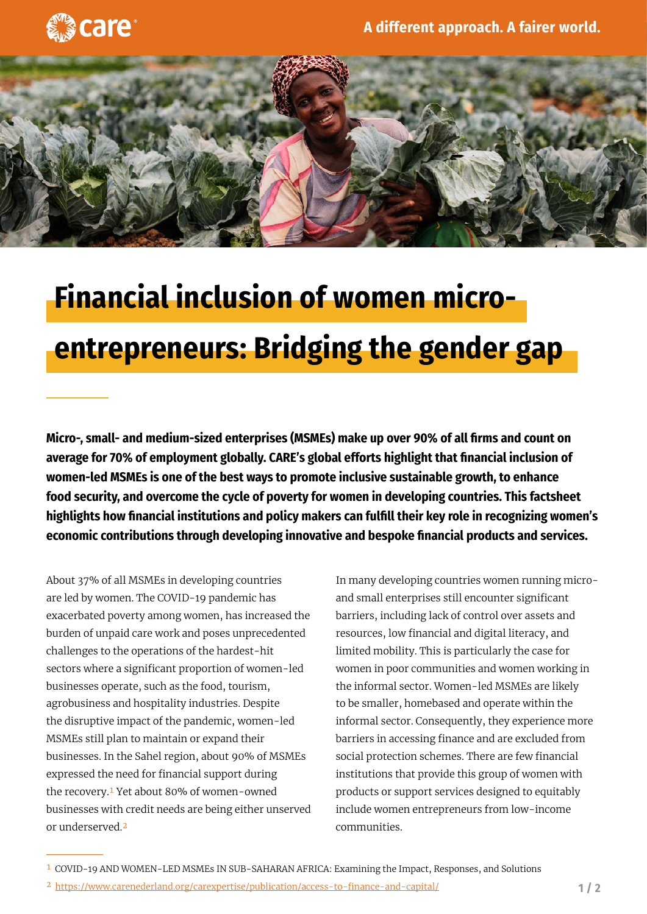



## **Financial inclusion of women microentrepreneurs: Bridging the gender gap**

**Micro-, small- and medium-sized enterprises (MSMEs) make up over 90% of all firms and count on average for 70% of employment globally. CARE's global efforts highlight that financial inclusion of women-led MSMEs is one of the best ways to promote inclusive sustainable growth, to enhance food security, and overcome the cycle of poverty for women in developing countries. This factsheet highlights how financial institutions and policy makers can fulfill their key role in recognizing women's economic contributions through developing innovative and bespoke financial products and services.**

About 37% of all MSMEs in developing countries are led by women. The COVID-19 pandemic has exacerbated poverty among women, has increased the burden of unpaid care work and poses unprecedented challenges to the operations of the hardest-hit sectors where a significant proportion of women-led businesses operate, such as the food, tourism, agrobusiness and hospitality industries. Despite the disruptive impact of the pandemic, women-led MSMEs still plan to maintain or expand their businesses. In the Sahel region, about 90% of MSMEs expressed the need for financial support during the recovery.1 Yet about 80% of women-owned businesses with credit needs are being either unserved or underserved.2

In many developing countries women running microand small enterprises still encounter significant barriers, including lack of control over assets and resources, low financial and digital literacy, and limited mobility. This is particularly the case for women in poor communities and women working in the informal sector. Women-led MSMEs are likely to be smaller, homebased and operate within the informal sector. Consequently, they experience more barriers in accessing finance and are excluded from social protection schemes. There are few financial institutions that provide this group of women with products or support services designed to equitably include women entrepreneurs from low-income communities.

<sup>1</sup> COVID-19 AND WOMEN-LED MSMEs IN SUB-SAHARAN AFRICA: Examining the Impact, Responses, and Solutions

<sup>2</sup> <https://www.carenederland.org/carexpertise/publication/access-to-finance-and-capital/>